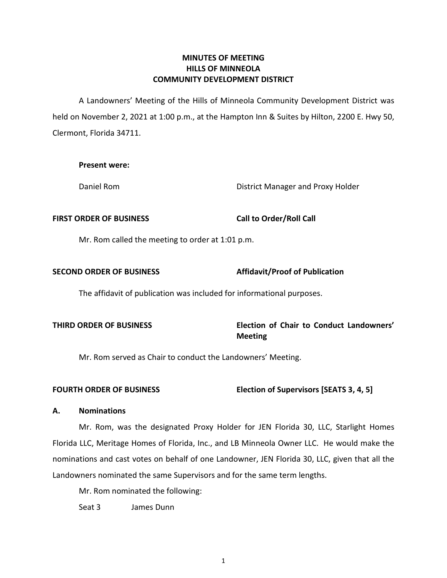# **MINUTES OF MEETING HILLS OF MINNEOLA COMMUNITY DEVELOPMENT DISTRICT**

A Landowners' Meeting of the Hills of Minneola Community Development District was held on November 2, 2021 at 1:00 p.m., at the Hampton Inn & Suites by Hilton, 2200 E. Hwy 50, Clermont, Florida 34711.

### **Present were:**

Daniel Rom District Manager and Proxy Holder

### FIRST ORDER OF BUSINESS Call to Order/Roll Call

Mr. Rom called the meeting to order at 1:01 p.m.

# **SECOND ORDER OF BUSINESS Affidavit/Proof of Publication**

The affidavit of publication was included for informational purposes.

# **THIRD ORDER OF BUSINESS Election of Chair to Conduct Landowners' Meeting**

Mr. Rom served as Chair to conduct the Landowners' Meeting.

**FOURTH ORDER OF BUSINESS Election of Supervisors [SEATS 3, 4, 5]** 

# **A. Nominations**

Mr. Rom, was the designated Proxy Holder for JEN Florida 30, LLC, Starlight Homes Florida LLC, Meritage Homes of Florida, Inc., and LB Minneola Owner LLC. He would make the nominations and cast votes on behalf of one Landowner, JEN Florida 30, LLC, given that all the Landowners nominated the same Supervisors and for the same term lengths.

Mr. Rom nominated the following:

Seat 3 James Dunn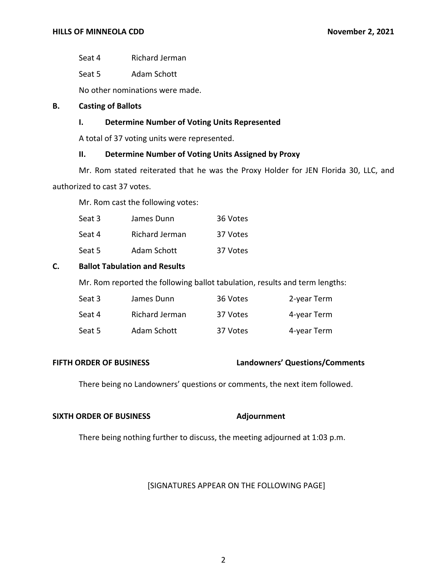Seat 4 Richard Jerman

Seat 5 Adam Schott

No other nominations were made.

### **B. Casting of Ballots**

### **I. Determine Number of Voting Units Represented**

A total of 37 voting units were represented.

# **II. Determine Number of Voting Units Assigned by Proxy**

Mr. Rom stated reiterated that he was the Proxy Holder for JEN Florida 30, LLC, and authorized to cast 37 votes.

Mr. Rom cast the following votes:

| Seat 3 | James Dunn     | 36 Votes |
|--------|----------------|----------|
| Seat 4 | Richard Jerman | 37 Votes |
| Seat 5 | Adam Schott    | 37 Votes |

# **C. Ballot Tabulation and Results**

Mr. Rom reported the following ballot tabulation, results and term lengths:

| Seat 3 | James Dunn     | 36 Votes | 2-year Term |
|--------|----------------|----------|-------------|
| Seat 4 | Richard Jerman | 37 Votes | 4-year Term |
| Seat 5 | Adam Schott    | 37 Votes | 4-year Term |

### **FIFTH ORDER OF BUSINESS Landowners' Questions/Comments**

There being no Landowners' questions or comments, the next item followed.

### **SIXTH ORDER OF BUSINESS** Adjournment

There being nothing further to discuss, the meeting adjourned at 1:03 p.m.

# [SIGNATURES APPEAR ON THE FOLLOWING PAGE]